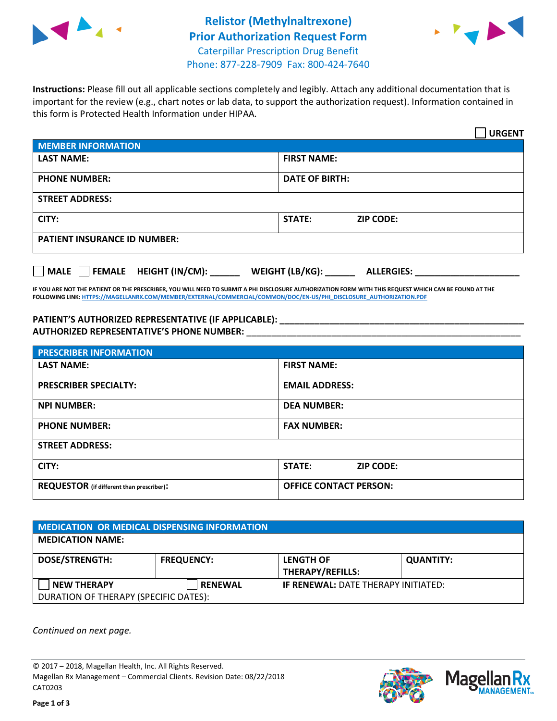



**Instructions:** Please fill out all applicable sections completely and legibly. Attach any additional documentation that is important for the review (e.g., chart notes or lab data, to support the authorization request). Information contained in this form is Protected Health Information under HIPAA.

|                                     | <b>URGENT</b>                        |  |  |
|-------------------------------------|--------------------------------------|--|--|
| <b>MEMBER INFORMATION</b>           |                                      |  |  |
| <b>LAST NAME:</b>                   | <b>FIRST NAME:</b>                   |  |  |
| <b>PHONE NUMBER:</b>                | <b>DATE OF BIRTH:</b>                |  |  |
| <b>STREET ADDRESS:</b>              |                                      |  |  |
| CITY:                               | <b>ZIP CODE:</b><br>STATE:           |  |  |
| <b>PATIENT INSURANCE ID NUMBER:</b> |                                      |  |  |
| FEMALE HEIGHT (IN/CM):<br>    MALE  | WEIGHT (LB/KG):<br><b>ALLERGIES:</b> |  |  |

**IF YOU ARE NOT THE PATIENT OR THE PRESCRIBER, YOU WILL NEED TO SUBMIT A PHI DISCLOSURE AUTHORIZATION FORM WITH THIS REQUEST WHICH CAN BE FOUND AT THE FOLLOWING LINK[: HTTPS://MAGELLANRX.COM/MEMBER/EXTERNAL/COMMERCIAL/COMMON/DOC/EN-US/PHI\\_DISCLOSURE\\_AUTHORIZATION.PDF](https://magellanrx.com/member/external/commercial/common/doc/en-us/PHI_Disclosure_Authorization.pdf)**

**PATIENT'S AUTHORIZED REPRESENTATIVE (IF APPLICABLE): \_\_\_\_\_\_\_\_\_\_\_\_\_\_\_\_\_\_\_\_\_\_\_\_\_\_\_\_\_\_\_\_\_\_\_\_\_\_\_\_\_\_\_\_\_\_\_\_\_ AUTHORIZED REPRESENTATIVE'S PHONE NUMBER:** \_\_\_\_\_\_\_\_\_\_\_\_\_\_\_\_\_\_\_\_\_\_\_\_\_\_\_\_\_\_\_\_\_\_\_\_\_\_\_\_\_\_\_\_\_\_\_\_\_\_\_\_\_\_\_

| <b>PRESCRIBER INFORMATION</b>             |                               |  |  |  |
|-------------------------------------------|-------------------------------|--|--|--|
| <b>LAST NAME:</b>                         | <b>FIRST NAME:</b>            |  |  |  |
| <b>PRESCRIBER SPECIALTY:</b>              | <b>EMAIL ADDRESS:</b>         |  |  |  |
| <b>NPI NUMBER:</b>                        | <b>DEA NUMBER:</b>            |  |  |  |
| <b>PHONE NUMBER:</b>                      | <b>FAX NUMBER:</b>            |  |  |  |
| <b>STREET ADDRESS:</b>                    |                               |  |  |  |
| CITY:                                     | STATE:<br><b>ZIP CODE:</b>    |  |  |  |
| REQUESTOR (if different than prescriber): | <b>OFFICE CONTACT PERSON:</b> |  |  |  |

| <b>MEDICATION OR MEDICAL DISPENSING INFORMATION</b> |                   |                                            |                  |  |  |
|-----------------------------------------------------|-------------------|--------------------------------------------|------------------|--|--|
| <b>MEDICATION NAME:</b>                             |                   |                                            |                  |  |  |
| <b>DOSE/STRENGTH:</b>                               | <b>FREQUENCY:</b> | <b>LENGTH OF</b>                           | <b>QUANTITY:</b> |  |  |
|                                                     |                   | <b>THERAPY/REFILLS:</b>                    |                  |  |  |
| <b>NEW THERAPY</b>                                  | <b>RENEWAL</b>    | <b>IF RENEWAL: DATE THERAPY INITIATED:</b> |                  |  |  |
| DURATION OF THERAPY (SPECIFIC DATES):               |                   |                                            |                  |  |  |

*Continued on next page.*

© 2017 – 2018, Magellan Health, Inc. All Rights Reserved. Magellan Rx Management – Commercial Clients. Revision Date: 08/22/2018 CAT0203



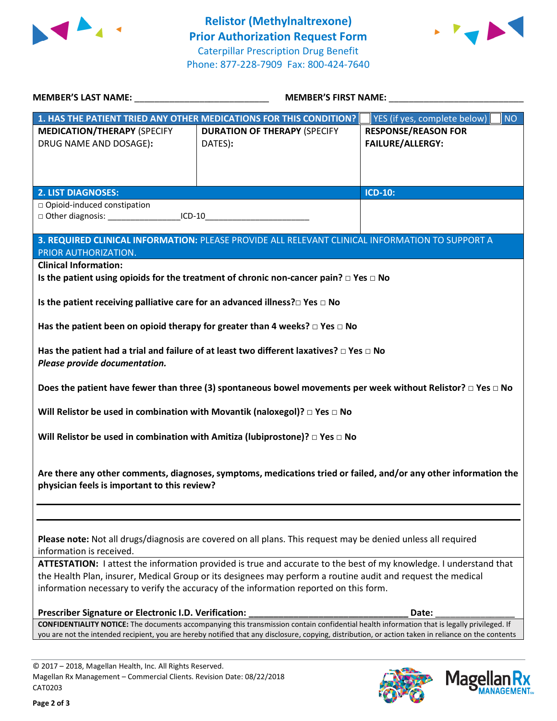



| MEMBER'S LAST NAME: NAMER AND A SERIES AND A SERIES OF STREET AND A STREET AND A STREET AND A STREET AND A STR                                                                                                                                                                                                               | <b>MEMBER'S FIRST NAME:</b>                                                                           |                                           |  |  |  |
|------------------------------------------------------------------------------------------------------------------------------------------------------------------------------------------------------------------------------------------------------------------------------------------------------------------------------|-------------------------------------------------------------------------------------------------------|-------------------------------------------|--|--|--|
|                                                                                                                                                                                                                                                                                                                              | 1. HAS THE PATIENT TRIED ANY OTHER MEDICATIONS FOR THIS CONDITION?                                    | YES (if yes, complete below)<br><b>NO</b> |  |  |  |
| <b>MEDICATION/THERAPY (SPECIFY</b>                                                                                                                                                                                                                                                                                           | <b>DURATION OF THERAPY (SPECIFY</b>                                                                   | <b>RESPONSE/REASON FOR</b>                |  |  |  |
| DRUG NAME AND DOSAGE):                                                                                                                                                                                                                                                                                                       | DATES):                                                                                               | <b>FAILURE/ALLERGY:</b>                   |  |  |  |
|                                                                                                                                                                                                                                                                                                                              |                                                                                                       |                                           |  |  |  |
|                                                                                                                                                                                                                                                                                                                              |                                                                                                       |                                           |  |  |  |
| <b>2. LIST DIAGNOSES:</b>                                                                                                                                                                                                                                                                                                    |                                                                                                       | <b>ICD-10:</b>                            |  |  |  |
| □ Opioid-induced constipation<br>□ Other diagnosis: _______________________ICD-10___________                                                                                                                                                                                                                                 |                                                                                                       |                                           |  |  |  |
|                                                                                                                                                                                                                                                                                                                              |                                                                                                       |                                           |  |  |  |
| PRIOR AUTHORIZATION.                                                                                                                                                                                                                                                                                                         | 3. REQUIRED CLINICAL INFORMATION: PLEASE PROVIDE ALL RELEVANT CLINICAL INFORMATION TO SUPPORT A       |                                           |  |  |  |
| <b>Clinical Information:</b>                                                                                                                                                                                                                                                                                                 |                                                                                                       |                                           |  |  |  |
|                                                                                                                                                                                                                                                                                                                              | Is the patient using opioids for the treatment of chronic non-cancer pain? $\square$ Yes $\square$ No |                                           |  |  |  |
| Is the patient receiving palliative care for an advanced illness? $\square$ Yes $\square$ No                                                                                                                                                                                                                                 |                                                                                                       |                                           |  |  |  |
|                                                                                                                                                                                                                                                                                                                              | Has the patient been on opioid therapy for greater than 4 weeks? $\Box$ Yes $\Box$ No                 |                                           |  |  |  |
| Has the patient had a trial and failure of at least two different laxatives? $\Box$ Yes $\Box$ No<br>Please provide documentation.                                                                                                                                                                                           |                                                                                                       |                                           |  |  |  |
| Does the patient have fewer than three (3) spontaneous bowel movements per week without Relistor? $\Box$ Yes $\Box$ No                                                                                                                                                                                                       |                                                                                                       |                                           |  |  |  |
| Will Relistor be used in combination with Movantik (naloxegol)? $\Box$ Yes $\Box$ No                                                                                                                                                                                                                                         |                                                                                                       |                                           |  |  |  |
|                                                                                                                                                                                                                                                                                                                              | Will Relistor be used in combination with Amitiza (lubiprostone)? $\Box$ Yes $\Box$ No                |                                           |  |  |  |
| Are there any other comments, diagnoses, symptoms, medications tried or failed, and/or any other information the<br>physician feels is important to this review?                                                                                                                                                             |                                                                                                       |                                           |  |  |  |
| Please note: Not all drugs/diagnosis are covered on all plans. This request may be denied unless all required<br>information is received.                                                                                                                                                                                    |                                                                                                       |                                           |  |  |  |
| ATTESTATION: I attest the information provided is true and accurate to the best of my knowledge. I understand that<br>the Health Plan, insurer, Medical Group or its designees may perform a routine audit and request the medical<br>information necessary to verify the accuracy of the information reported on this form. |                                                                                                       |                                           |  |  |  |
| Prescriber Signature or Electronic I.D. Verification:                                                                                                                                                                                                                                                                        |                                                                                                       | Date:                                     |  |  |  |
| <b>CONFIDENTIALITY NOTICE:</b> The documents accompanying this transmission contain confidential health information that is legally privileged. If<br>you are not the intended recipient, you are hereby notified that any disclosure, copying, distribution, or action taken in reliance on the contents                    |                                                                                                       |                                           |  |  |  |
|                                                                                                                                                                                                                                                                                                                              |                                                                                                       |                                           |  |  |  |

© 2017 – 2018, Magellan Health, Inc. All Rights Reserved. Magellan Rx Management – Commercial Clients. Revision Date: 08/22/2018 CAT0203



Mage

**RX ANAGEMENT**<sub>SM</sub>